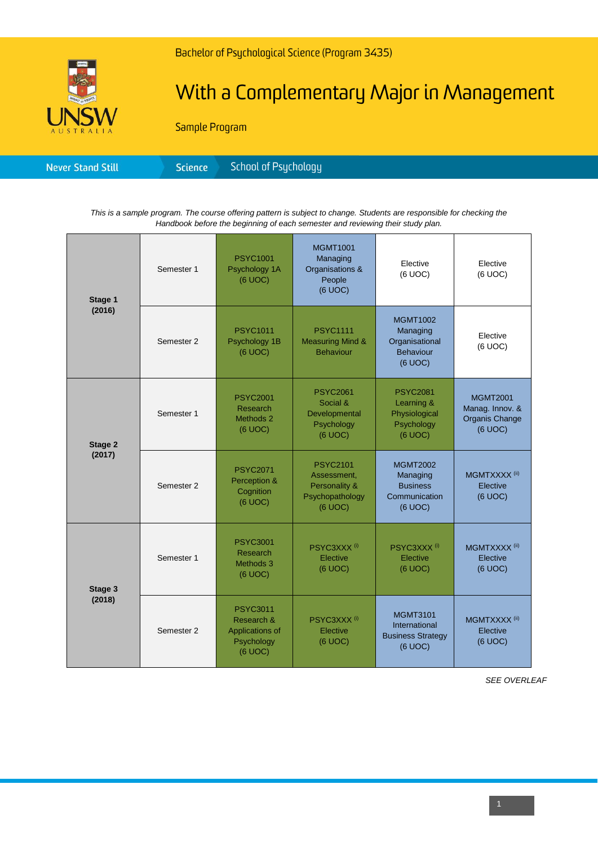

## With a Complementary Major in Management

Sample Program

| <b>Never Stand Still</b> | Science <sup>1</sup> | School of Psychology' |
|--------------------------|----------------------|-----------------------|
|--------------------------|----------------------|-----------------------|

*This is a sample program. The course offering pattern is subject to change. Students are responsible for checking the Handbook before the beginning of each semester and reviewing their study plan.*

| Stage 1<br>(2016) | Semester 1 | <b>PSYC1001</b><br>Psychology 1A<br>(6 UOC)                               | <b>MGMT1001</b><br>Managing<br>Organisations &<br>People<br>(6 UOC)           | Elective<br>(6 UOC)                                                          | Elective<br>(6 UOC)                                             |
|-------------------|------------|---------------------------------------------------------------------------|-------------------------------------------------------------------------------|------------------------------------------------------------------------------|-----------------------------------------------------------------|
|                   | Semester 2 | <b>PSYC1011</b><br>Psychology 1B<br>(6 UOC)                               | <b>PSYC1111</b><br><b>Measuring Mind &amp;</b><br><b>Behaviour</b>            | <b>MGMT1002</b><br>Managing<br>Organisational<br><b>Behaviour</b><br>(6 UOC) | Elective<br>(6 UOC)                                             |
| Stage 2<br>(2017) | Semester 1 | <b>PSYC2001</b><br>Research<br>Methods 2<br>(6 UOC)                       | <b>PSYC2061</b><br>Social &<br>Developmental<br>Psychology<br>(6 UOC)         | <b>PSYC2081</b><br>Learning &<br>Physiological<br>Psychology<br>(6 UOC)      | <b>MGMT2001</b><br>Manag. Innov. &<br>Organis Change<br>(6 UOC) |
|                   | Semester 2 | <b>PSYC2071</b><br>Perception &<br>Cognition<br>$(6$ UOC $)$              | <b>PSYC2101</b><br>Assessment,<br>Personality &<br>Psychopathology<br>(6 UOC) | <b>MGMT2002</b><br>Managing<br><b>Business</b><br>Communication<br>(6 UOC)   | MGMTXXXX <sup>(ii)</sup><br>Elective<br>(6 UOC)                 |
| Stage 3<br>(2018) | Semester 1 | <b>PSYC3001</b><br>Research<br>Methods 3<br>(6 UOC)                       | PSYC3XXX <sup>(i)</sup><br>Elective<br>(6 UOC)                                | PSYC3XXX <sup>(i)</sup><br>Elective<br>(6 UOC)                               | MGMTXXXX <sup>(ii)</sup><br>Elective<br>(6 UOC)                 |
|                   | Semester 2 | <b>PSYC3011</b><br>Research &<br>Applications of<br>Psychology<br>(6 UOC) | PSYC3XXX <sup>(i)</sup><br>Elective<br>(6 UOC)                                | <b>MGMT3101</b><br>International<br><b>Business Strategy</b><br>(6 UOC)      | MGMTXXXX <sup>(ii)</sup><br>Elective<br>(6 UOC)                 |

*SEE OVERLEAF*